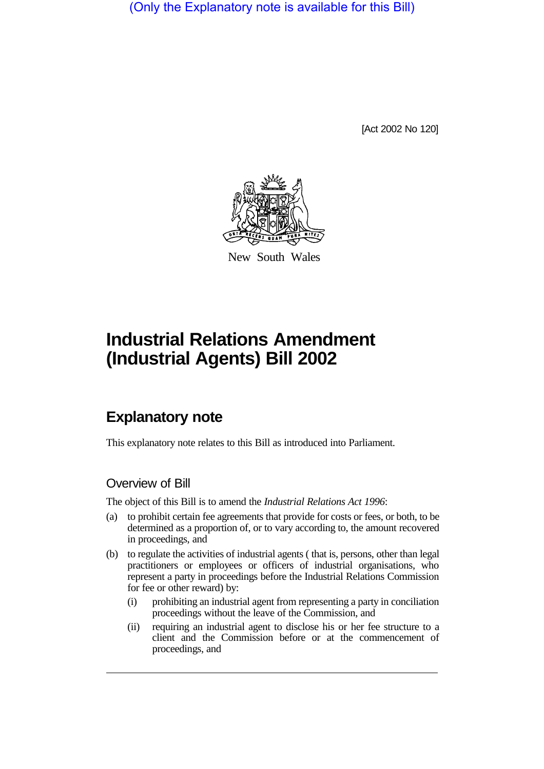(Only the Explanatory note is available for this Bill)

[Act 2002 No 120]



New South Wales

# **Industrial Relations Amendment (Industrial Agents) Bill 2002**

## **Explanatory note**

This explanatory note relates to this Bill as introduced into Parliament.

### Overview of Bill

The object of this Bill is to amend the *Industrial Relations Act 1996*:

- (a) to prohibit certain fee agreements that provide for costs or fees, or both, to be determined as a proportion of, or to vary according to, the amount recovered in proceedings, and
- (b) to regulate the activities of industrial agents ( that is, persons, other than legal practitioners or employees or officers of industrial organisations, who represent a party in proceedings before the Industrial Relations Commission for fee or other reward) by:
	- (i) prohibiting an industrial agent from representing a party in conciliation proceedings without the leave of the Commission, and
	- (ii) requiring an industrial agent to disclose his or her fee structure to a client and the Commission before or at the commencement of proceedings, and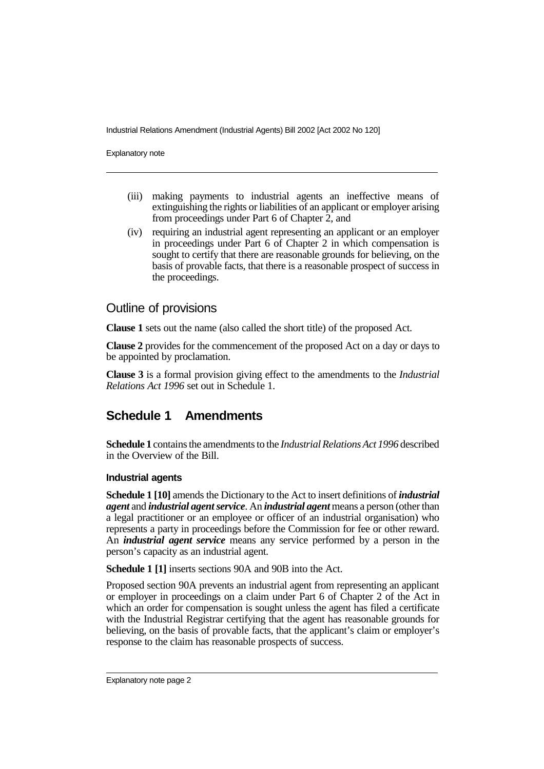Industrial Relations Amendment (Industrial Agents) Bill 2002 [Act 2002 No 120]

Explanatory note

- (iii) making payments to industrial agents an ineffective means of extinguishing the rights or liabilities of an applicant or employer arising from proceedings under Part 6 of Chapter 2, and
- (iv) requiring an industrial agent representing an applicant or an employer in proceedings under Part 6 of Chapter 2 in which compensation is sought to certify that there are reasonable grounds for believing, on the basis of provable facts, that there is a reasonable prospect of success in the proceedings.

### Outline of provisions

**Clause 1** sets out the name (also called the short title) of the proposed Act.

**Clause 2** provides for the commencement of the proposed Act on a day or days to be appointed by proclamation.

**Clause 3** is a formal provision giving effect to the amendments to the *Industrial Relations Act 1996* set out in Schedule 1.

### **Schedule 1 Amendments**

**Schedule 1** contains the amendments to the *Industrial Relations Act 1996* described in the Overview of the Bill.

#### **Industrial agents**

**Schedule 1 [10]** amends the Dictionary to the Act to insert definitions of *industrial agent* and *industrial agent service*. An *industrial agent* means a person (other than a legal practitioner or an employee or officer of an industrial organisation) who represents a party in proceedings before the Commission for fee or other reward. An *industrial agent service* means any service performed by a person in the person's capacity as an industrial agent.

**Schedule 1 [1]** inserts sections 90A and 90B into the Act.

Proposed section 90A prevents an industrial agent from representing an applicant or employer in proceedings on a claim under Part 6 of Chapter 2 of the Act in which an order for compensation is sought unless the agent has filed a certificate with the Industrial Registrar certifying that the agent has reasonable grounds for believing, on the basis of provable facts, that the applicant's claim or employer's response to the claim has reasonable prospects of success.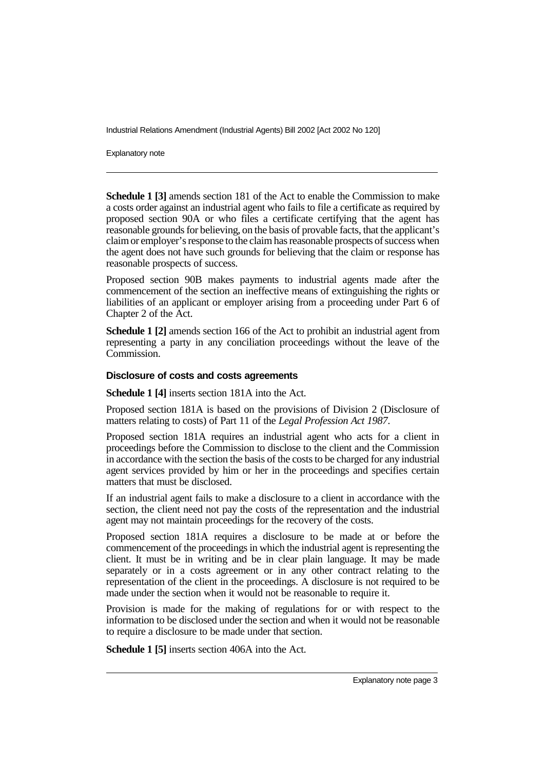Industrial Relations Amendment (Industrial Agents) Bill 2002 [Act 2002 No 120]

Explanatory note

**Schedule 1 [3]** amends section 181 of the Act to enable the Commission to make a costs order against an industrial agent who fails to file a certificate as required by proposed section 90A or who files a certificate certifying that the agent has reasonable grounds for believing, on the basis of provable facts, that the applicant's claim or employer's response to the claim has reasonable prospects of success when the agent does not have such grounds for believing that the claim or response has reasonable prospects of success.

Proposed section 90B makes payments to industrial agents made after the commencement of the section an ineffective means of extinguishing the rights or liabilities of an applicant or employer arising from a proceeding under Part 6 of Chapter 2 of the Act.

**Schedule 1 [2]** amends section 166 of the Act to prohibit an industrial agent from representing a party in any conciliation proceedings without the leave of the Commission.

#### **Disclosure of costs and costs agreements**

**Schedule 1 [4]** inserts section 181A into the Act.

Proposed section 181A is based on the provisions of Division 2 (Disclosure of matters relating to costs) of Part 11 of the *Legal Profession Act 1987*.

Proposed section 181A requires an industrial agent who acts for a client in proceedings before the Commission to disclose to the client and the Commission in accordance with the section the basis of the costs to be charged for any industrial agent services provided by him or her in the proceedings and specifies certain matters that must be disclosed.

If an industrial agent fails to make a disclosure to a client in accordance with the section, the client need not pay the costs of the representation and the industrial agent may not maintain proceedings for the recovery of the costs.

Proposed section 181A requires a disclosure to be made at or before the commencement of the proceedings in which the industrial agent is representing the client. It must be in writing and be in clear plain language. It may be made separately or in a costs agreement or in any other contract relating to the representation of the client in the proceedings. A disclosure is not required to be made under the section when it would not be reasonable to require it.

Provision is made for the making of regulations for or with respect to the information to be disclosed under the section and when it would not be reasonable to require a disclosure to be made under that section.

**Schedule 1 [5]** inserts section 406A into the Act.